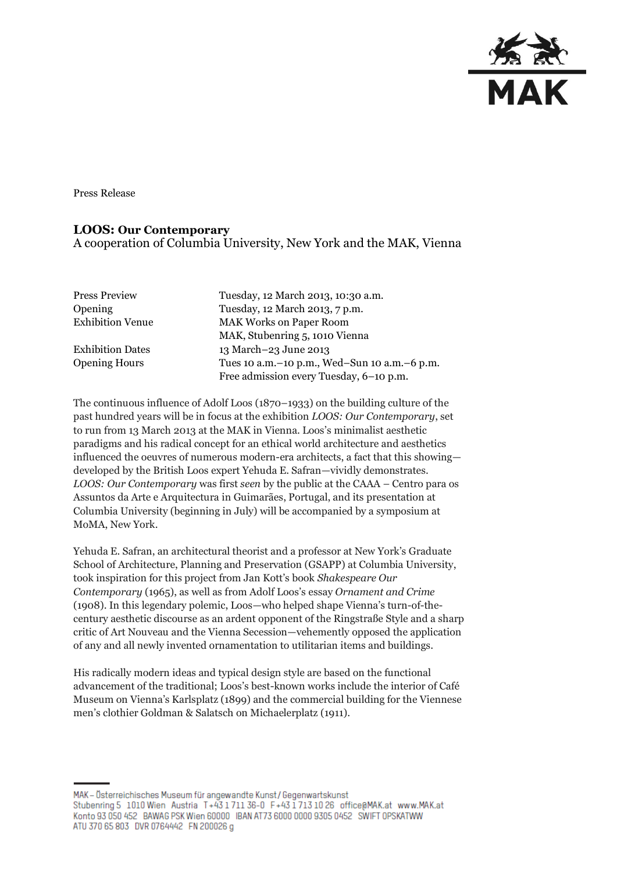

Press Release

### **LOOS: Our Contemporary**

A cooperation of Columbia University, New York and the MAK, Vienna

| <b>Press Preview</b>    | Tuesday, 12 March 2013, 10:30 a.m.               |
|-------------------------|--------------------------------------------------|
| Opening                 | Tuesday, 12 March 2013, 7 p.m.                   |
| <b>Exhibition Venue</b> | <b>MAK Works on Paper Room</b>                   |
|                         | MAK, Stubenring 5, 1010 Vienna                   |
| <b>Exhibition Dates</b> | 13 March-23 June 2013                            |
| <b>Opening Hours</b>    | Tues 10 a.m. - 10 p.m., Wed-Sun 10 a.m. - 6 p.m. |
|                         | Free admission every Tuesday, 6-10 p.m.          |

The continuous influence of Adolf Loos (1870–1933) on the building culture of the past hundred years will be in focus at the exhibition *LOOS: Our Contemporary*, set to run from 13 March 2013 at the MAK in Vienna. Loos's minimalist aesthetic paradigms and his radical concept for an ethical world architecture and aesthetics influenced the oeuvres of numerous modern-era architects, a fact that this showing developed by the British Loos expert Yehuda E. Safran—vividly demonstrates. *LOOS: Our Contemporary* was first *seen* by the public at the CAAA – Centro para os Assuntos da Arte e Arquitectura in Guimarães, Portugal, and its presentation at Columbia University (beginning in July) will be accompanied by a symposium at MoMA, New York.

Yehuda E. Safran, an architectural theorist and a professor at New York's Graduate School of Architecture, Planning and Preservation (GSAPP) at Columbia University, took inspiration for this project from Jan Kott's book *Shakespeare Our Contemporary* (1965), as well as from Adolf Loos's essay *Ornament and Crime*  (1908). In this legendary polemic, Loos—who helped shape Vienna's turn-of-thecentury aesthetic discourse as an ardent opponent of the Ringstraße Style and a sharp critic of Art Nouveau and the Vienna Secession—vehemently opposed the application of any and all newly invented ornamentation to utilitarian items and buildings.

His radically modern ideas and typical design style are based on the functional advancement of the traditional; Loos's best-known works include the interior of Café Museum on Vienna's Karlsplatz (1899) and the commercial building for the Viennese men's clothier Goldman & Salatsch on Michaelerplatz (1911).

MAK - Österreichisches Museum für angewandte Kunst/Gegenwartskunst Stubenring 5 1010 Wien Austria T+43 1711 36-0 F+43 1713 10 26 office@MAK.at www.MAK.at Konto 93 050 452 BAWAG PSK Wien 60000 BAN AT73 6000 0000 9305 0452 SWIFT 0PSKATWW ATU 370 65 803 DVR 0764442 FN 200026 g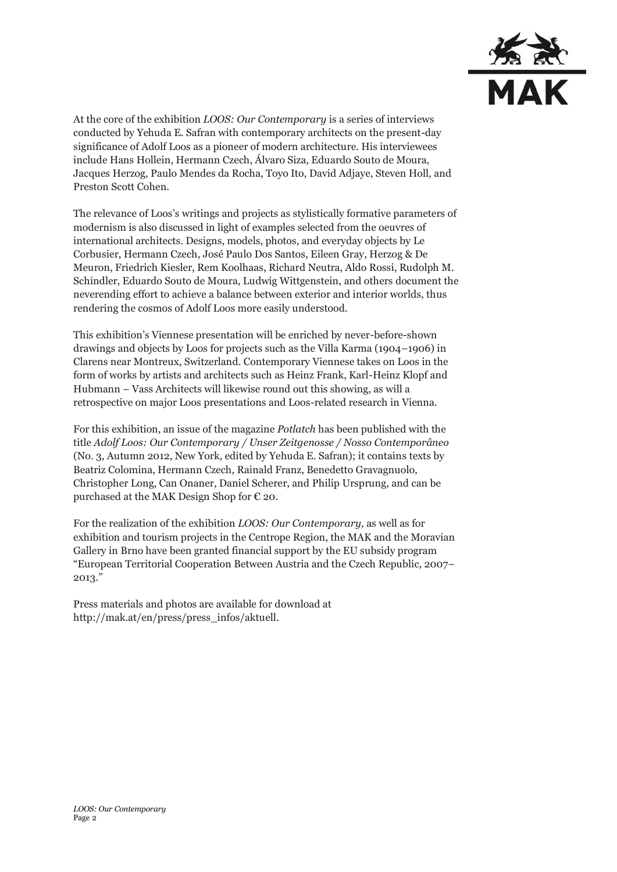

At the core of the exhibition *LOOS: Our Contemporary* is a series of interviews conducted by Yehuda E. Safran with contemporary architects on the present-day significance of Adolf Loos as a pioneer of modern architecture. His interviewees include Hans Hollein, Hermann Czech, Álvaro Siza, Eduardo Souto de Moura, Jacques Herzog, Paulo Mendes da Rocha, Toyo Ito, David Adjaye, Steven Holl, and Preston Scott Cohen.

The relevance of Loos's writings and projects as stylistically formative parameters of modernism is also discussed in light of examples selected from the oeuvres of international architects. Designs, models, photos, and everyday objects by Le Corbusier, Hermann Czech, José Paulo Dos Santos, Eileen Gray, Herzog & De Meuron, Friedrich Kiesler, Rem Koolhaas, Richard Neutra, Aldo Rossi, Rudolph M. Schindler, Eduardo Souto de Moura, Ludwig Wittgenstein, and others document the neverending effort to achieve a balance between exterior and interior worlds, thus rendering the cosmos of Adolf Loos more easily understood.

This exhibition's Viennese presentation will be enriched by never-before-shown drawings and objects by Loos for projects such as the Villa Karma (1904–1906) in Clarens near Montreux, Switzerland. Contemporary Viennese takes on Loos in the form of works by artists and architects such as Heinz Frank, Karl-Heinz Klopf and Hubmann – Vass Architects will likewise round out this showing, as will a retrospective on major Loos presentations and Loos-related research in Vienna.

For this exhibition, an issue of the magazine *Potlatch* has been published with the title *Adolf Loos: Our Contemporary / Unser Zeitgenosse / Nosso Contemporâneo*  (No. 3, Autumn 2012, New York, edited by Yehuda E. Safran); it contains texts by Beatriz Colomina, Hermann Czech, Rainald Franz, Benedetto Gravagnuolo, Christopher Long, Can Onaner, Daniel Scherer, and Philip Ursprung, and can be purchased at the MAK Design Shop for  $\epsilon$  20.

For the realization of the exhibition *LOOS: Our Contemporary,* as well as for exhibition and tourism projects in the Centrope Region, the MAK and the Moravian Gallery in Brno have been granted financial support by the EU subsidy program "European Territorial Cooperation Between Austria and the Czech Republic, 2007– 2013."

Press materials and photos are available for download at [http://mak.at/en/press/press\\_infos/aktuell.](http://mak.at/en/press/press_infos/aktuell)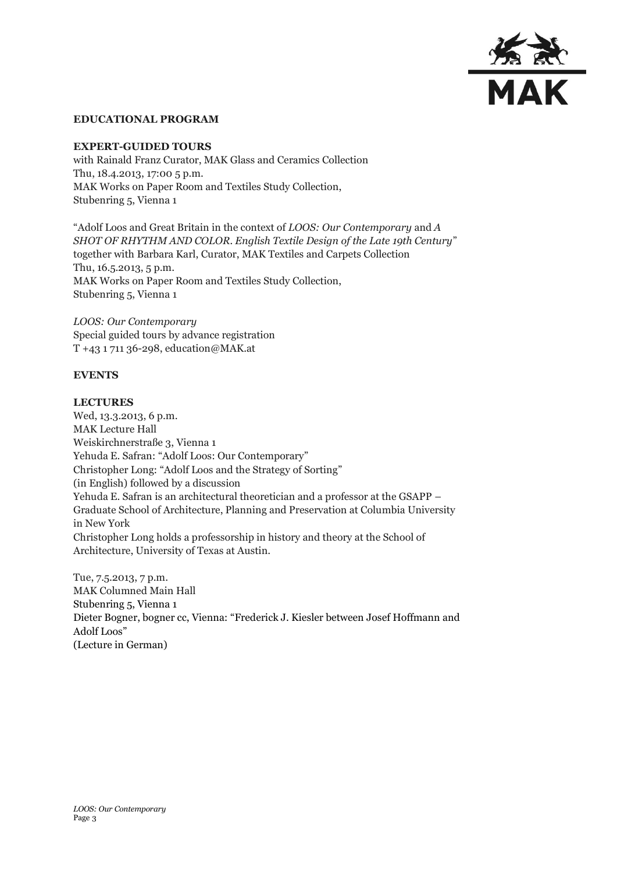

#### **EDUCATIONAL PROGRAM**

#### **EXPERT-GUIDED TOURS**

with Rainald Franz Curator, MAK Glass and Ceramics Collection Thu, 18.4.2013, 17:00 5 p.m. MAK Works on Paper Room and Textiles Study Collection, Stubenring 5, Vienna 1

"Adolf Loos and Great Britain in the context of *LOOS: Our Contemporary* and *A SHOT OF RHYTHM AND COLOR. English Textile Design of the Late 19th Century*" together with Barbara Karl, Curator, MAK Textiles and Carpets Collection Thu, 16.5.2013, 5 p.m. MAK Works on Paper Room and Textiles Study Collection, Stubenring 5, Vienna 1

*LOOS: Our Contemporary* Special guided tours by advance registration T +43 1 711 36-298, education@MAK.at

#### **EVENTS**

#### **LECTURES**

Wed, 13.3.2013, 6 p.m. MAK Lecture Hall Weiskirchnerstraße 3, Vienna 1 Yehuda E. Safran: "Adolf Loos: Our Contemporary" Christopher Long: "Adolf Loos and the Strategy of Sorting" (in English) followed by a discussion Yehuda E. Safran is an architectural theoretician and a professor at the GSAPP – Graduate School of Architecture, Planning and Preservation at Columbia University in New York Christopher Long holds a professorship in history and theory at the School of Architecture, University of Texas at Austin.

Tue, 7.5.2013, 7 p.m. MAK Columned Main Hall Stubenring 5, Vienna 1 Dieter Bogner, bogner cc, Vienna: "Frederick J. Kiesler between Josef Hoffmann and Adolf Loos" (Lecture in German)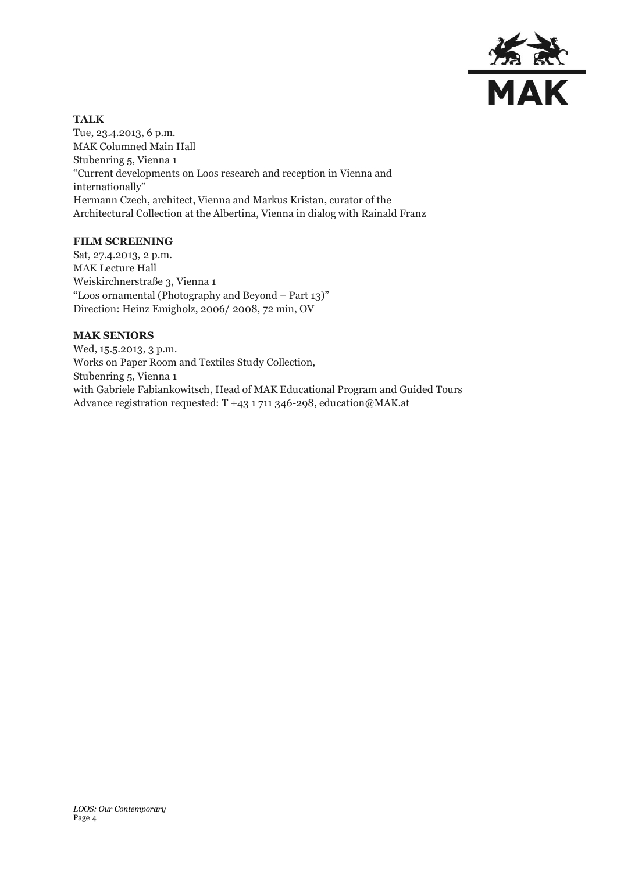

## **TALK**

Tue, 23.4.2013, 6 p.m. MAK Columned Main Hall Stubenring 5, Vienna 1 "Current developments on Loos research and reception in Vienna and internationally" Hermann Czech, architect, Vienna and Markus Kristan, curator of the Architectural Collection at the Albertina, Vienna in dialog with Rainald Franz

### **FILM SCREENING**

Sat, 27.4.2013, 2 p.m. MAK Lecture Hall Weiskirchnerstraße 3, Vienna 1 "Loos ornamental (Photography and Beyond – Part 13)" Direction: Heinz Emigholz, 2006/ 2008, 72 min, OV

## **MAK SENIORS**

Wed, 15.5.2013, 3 p.m. Works on Paper Room and Textiles Study Collection, Stubenring 5, Vienna 1 with Gabriele Fabiankowitsch, Head of MAK Educational Program and Guided Tours Advance registration requested: T +43 1 711 346-298, education@MAK.at